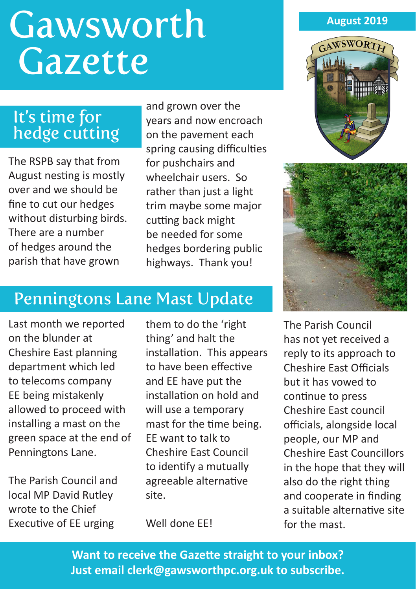# **Gawsworth Gazette**

# It's time for hedge cutting

The RSPB say that from August nesting is mostly over and we should be fine to cut our hedges without disturbing birds. There are a number of hedges around the parish that have grown

and grown over the years and now encroach on the pavement each spring causing difficulties for pushchairs and wheelchair users. So rather than just a light trim maybe some major cutting back might be needed for some hedges bordering public highways. Thank you!

# Penningtons Lane Mast Update

Last month we reported on the blunder at Cheshire East planning department which led to telecoms company EE being mistakenly allowed to proceed with installing a mast on the green space at the end of Penningtons Lane.

The Parish Council and local MP David Rutley wrote to the Chief Executive of EE urging

them to do the 'right thing' and halt the installation. This appears to have been effective and EE have put the installation on hold and will use a temporary mast for the time being. EE want to talk to Cheshire East Council to identify a mutually agreeable alternative site.

Well done EE!

#### **August 2019**





The Parish Council has not yet received a reply to its approach to Cheshire East Officials but it has vowed to continue to press Cheshire East council officials, alongside local people, our MP and Cheshire East Councillors in the hope that they will also do the right thing and cooperate in finding a suitable alternative site for the mast.

**Want to receive the Gazette straight to your inbox? Just email clerk@gawsworthpc.org.uk to subscribe.**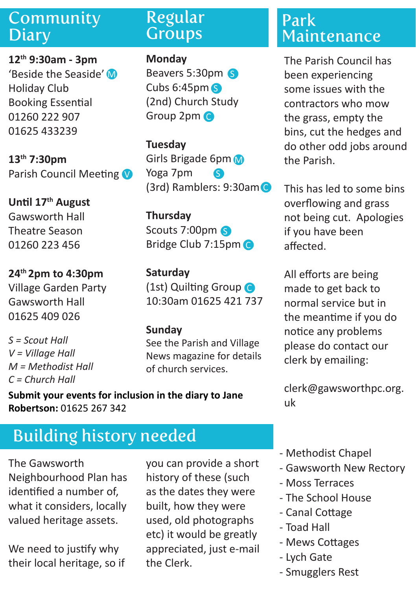# Community **Diary**

**12th 9:30am - 3pm**  'Beside the Seaside' M Holiday Club Booking Essential 01260 222 907 01625 433239

**13th 7:30pm** Parish Council Meeting

**Until 17th August** Gawsworth Hall Theatre Season 01260 223 456

**24th 2pm to 4:30pm** Village Garden Party Gawsworth Hall 01625 409 026

*S = Scout Hall V = Village Hall M = Methodist Hall C = Church Hall* 

## Regular **Groups**

**Monday**

Beavers 5:30pm 6 Cubs 6:45pm S (2nd) Church Study Group 2pm C

**Tuesday** Girls Brigade 6pm Yoga 7pm (3rd) Ramblers: 9:30am C S

**Thursday** Scouts 7:00pm S Bridge Club 7:15pm C

**Saturday** (1st) Quilting Group C 10:30am 01625 421 737

### **Sunday**

See the Parish and Village News magazine for details of church services.

**Submit your events for inclusion in the diary to Jane Robertson:** 01625 267 342

# Building history needed

The Gawsworth Neighbourhood Plan has identified a number of, what it considers, locally valued heritage assets.

We need to justify why their local heritage, so if you can provide a short history of these (such as the dates they were built, how they were used, old photographs etc) it would be greatly appreciated, just e-mail the Clerk.

# Park Maintenance

The Parish Council has been experiencing some issues with the contractors who mow the grass, empty the bins, cut the hedges and do other odd jobs around the Parish.

This has led to some bins overflowing and grass not being cut. Apologies if you have been affected.

All efforts are being made to get back to normal service but in the meantime if you do notice any problems please do contact our clerk by emailing:

clerk@gawsworthpc.org. uk

- Methodist Chapel
- Gawsworth New Rectory
- Moss Terraces
- The School House
- Canal Cottage
- Toad Hall
- Mews Cottages
- Lych Gate
- Smugglers Rest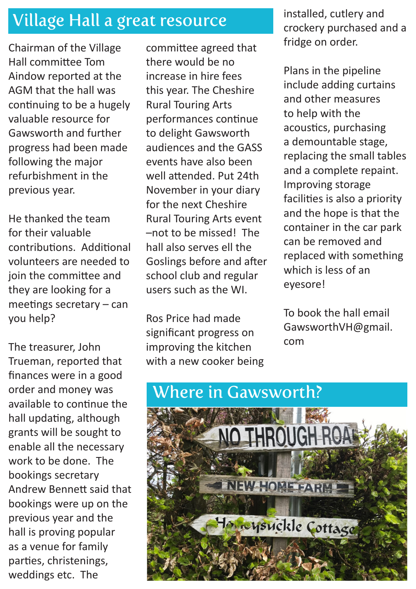# Village Hall a great resource

Chairman of the Village Hall committee Tom Aindow reported at the AGM that the hall was continuing to be a hugely valuable resource for Gawsworth and further progress had been made following the major refurbishment in the previous year.

He thanked the team for their valuable contributions. Additional volunteers are needed to join the committee and they are looking for a meetings secretary – can you help?

The treasurer, John Trueman, reported that finances were in a good order and money was available to continue the hall updating, although grants will be sought to enable all the necessary work to be done. The bookings secretary Andrew Bennett said that bookings were up on the previous year and the hall is proving popular as a venue for family parties, christenings, weddings etc. The

committee agreed that there would be no increase in hire fees this year. The Cheshire Rural Touring Arts performances continue to delight Gawsworth audiences and the GASS events have also been well attended. Put 24th November in your diary for the next Cheshire Rural Touring Arts event –not to be missed! The hall also serves ell the Goslings before and after school club and regular users such as the WI.

Ros Price had made significant progress on improving the kitchen with a new cooker being installed, cutlery and crockery purchased and a fridge on order.

Plans in the pipeline include adding curtains and other measures to help with the acoustics, purchasing a demountable stage, replacing the small tables and a complete repaint. Improving storage facilities is also a priority and the hope is that the container in the car park can be removed and replaced with something which is less of an eyesore!

To book the hall email GawsworthVH@gmail. com